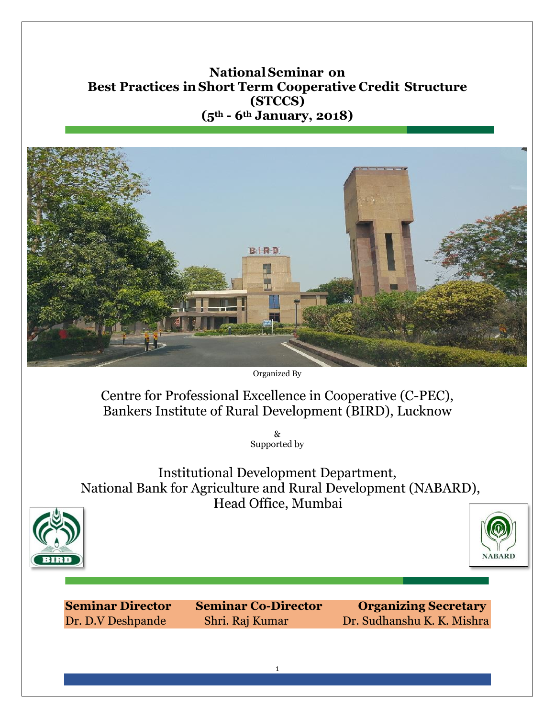# **NationalSeminar on Best Practices inShort Term Cooperative Credit Structure (STCCS) (5th - 6th January, 2018)**



Organized By

Centre for Professional Excellence in Cooperative (C-PEC), Bankers Institute of Rural Development (BIRD), Lucknow

> & Supported by

Institutional Development Department, National Bank for Agriculture and Rural Development (NABARD), Head Office, Mumbai





**Seminar Director Seminar Co-Director Organizing Secretary** Dr. D.V Deshpande Shri. Raj Kumar Dr. Sudhanshu K. K. Mishra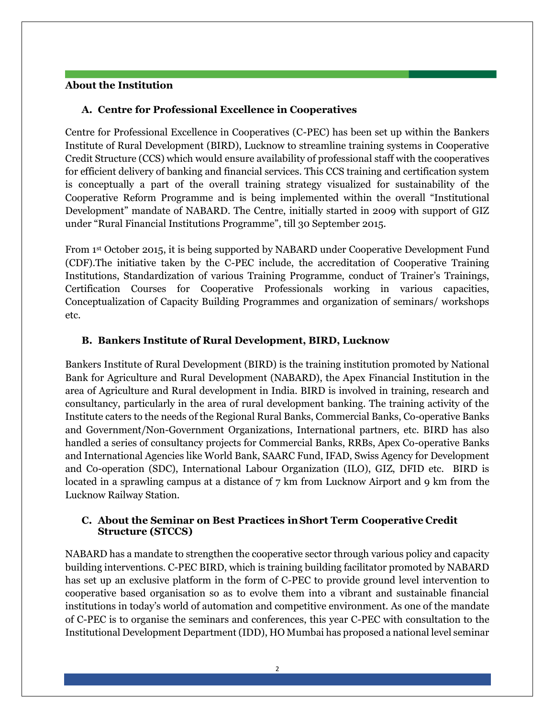#### **About the Institution**

## **A. Centre for Professional Excellence in Cooperatives**

Centre for Professional Excellence in Cooperatives (C-PEC) has been set up within the Bankers Institute of Rural Development (BIRD), Lucknow to streamline training systems in Cooperative Credit Structure (CCS) which would ensure availability of professional staff with the cooperatives for efficient delivery of banking and financial services. This CCS training and certification system is conceptually a part of the overall training strategy visualized for sustainability of the Cooperative Reform Programme and is being implemented within the overall "Institutional Development" mandate of NABARD. The Centre, initially started in 2009 with support of GIZ under "Rural Financial Institutions Programme", till 30 September 2015.

From 1st October 2015, it is being supported by NABARD under Cooperative Development Fund (CDF).The initiative taken by the C-PEC include, the accreditation of Cooperative Training Institutions, Standardization of various Training Programme, conduct of Trainer's Trainings, Certification Courses for Cooperative Professionals working in various capacities, Conceptualization of Capacity Building Programmes and organization of seminars/ workshops etc.

## **B. Bankers Institute of Rural Development, BIRD, Lucknow**

Bankers Institute of Rural Development (BIRD) is the training institution promoted by National Bank for Agriculture and Rural Development (NABARD), the Apex Financial Institution in the area of Agriculture and Rural development in India. BIRD is involved in training, research and consultancy, particularly in the area of rural development banking. The training activity of the Institute caters to the needs of the Regional Rural Banks, Commercial Banks, Co-operative Banks and Government/Non-Government Organizations, International partners, etc. BIRD has also handled a series of consultancy projects for Commercial Banks, RRBs, Apex Co-operative Banks and International Agencies like World Bank, SAARC Fund, IFAD, Swiss Agency for Development and Co-operation (SDC), International Labour Organization (ILO), GIZ, DFID etc. BIRD is located in a sprawling campus at a distance of 7 km from Lucknow Airport and 9 km from the Lucknow Railway Station.

## **C. About the Seminar on Best Practices inShort Term Cooperative Credit Structure (STCCS)**

NABARD has a mandate to strengthen the cooperative sector through various policy and capacity building interventions. C-PEC BIRD, which is training building facilitator promoted by NABARD has set up an exclusive platform in the form of C-PEC to provide ground level intervention to cooperative based organisation so as to evolve them into a vibrant and sustainable financial institutions in today's world of automation and competitive environment. As one of the mandate of C-PEC is to organise the seminars and conferences, this year C-PEC with consultation to the Institutional Development Department (IDD), HO Mumbai has proposed a national level seminar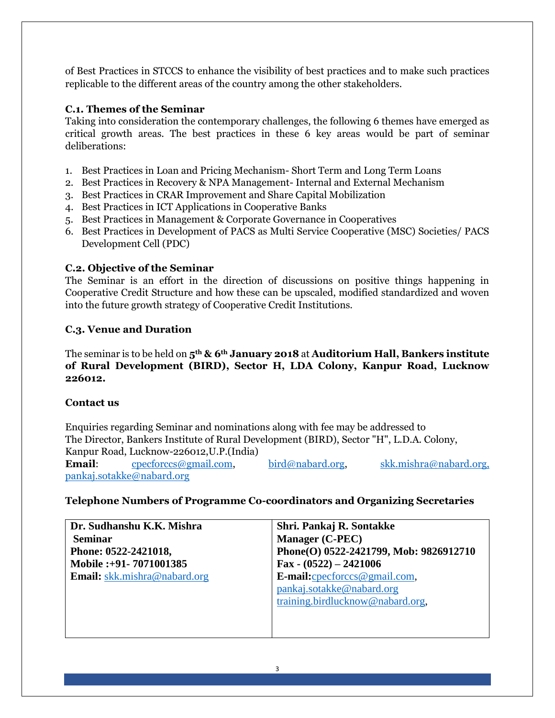of Best Practices in STCCS to enhance the visibility of best practices and to make such practices replicable to the different areas of the country among the other stakeholders.

# **C.1. Themes of the Seminar**

Taking into consideration the contemporary challenges, the following 6 themes have emerged as critical growth areas. The best practices in these 6 key areas would be part of seminar deliberations:

- 1. Best Practices in Loan and Pricing Mechanism- Short Term and Long Term Loans
- 2. Best Practices in Recovery & NPA Management- Internal and External Mechanism
- 3. Best Practices in CRAR Improvement and Share Capital Mobilization
- 4. Best Practices in ICT Applications in Cooperative Banks
- 5. Best Practices in Management & Corporate Governance in Cooperatives
- 6. Best Practices in Development of PACS as Multi Service Cooperative (MSC) Societies/ PACS Development Cell (PDC)

# **C.2. Objective of the Seminar**

The Seminar is an effort in the direction of discussions on positive things happening in Cooperative Credit Structure and how these can be upscaled, modified standardized and woven into the future growth strategy of Cooperative Credit Institutions.

# **C.3. Venue and Duration**

The seminar is to be held on **5th & 6th January 2018** at **Auditorium Hall, Bankers institute of Rural Development (BIRD), Sector H, LDA Colony, Kanpur Road, Lucknow 226012.**

## **Contact us**

Enquiries regarding Seminar and nominations along with fee may be addressed to The Director, Bankers Institute of Rural Development (BIRD), Sector "H", L.D.A. Colony, Kanpur Road, Lucknow-226012,U.P.(India) **Email:** [cpecforccs@gmail.com,](mailto:cpecforccs@gmail.com) [bird@nabard.org,](mailto:bird@nabard.org) [skk.mishra@nabard.org,](mailto:skk.mishra@nabard.org) [pankaj.sotakke@nabard.org](mailto:pankaj.sotakke@nabard.org)

## **Telephone Numbers of Programme Co-coordinators and Organizing Secretaries**

| Dr. Sudhanshu K.K. Mishra           | Shri. Pankaj R. Sontakke                |
|-------------------------------------|-----------------------------------------|
| <b>Seminar</b>                      | <b>Manager (C-PEC)</b>                  |
| Phone: 0522-2421018,                | Phone(O) 0522-2421799, Mob: 9826912710  |
| Mobile:+91-7071001385               | Fax - $(0522) - 2421006$                |
| <b>Email:</b> skk.mishra@nabard.org | E-mail: $\text{cpec}$ forccs@gmail.com, |
|                                     | pankaj.sotakke@nabard.org               |
|                                     | training.birdlucknow@nabard.org,        |
|                                     |                                         |
|                                     |                                         |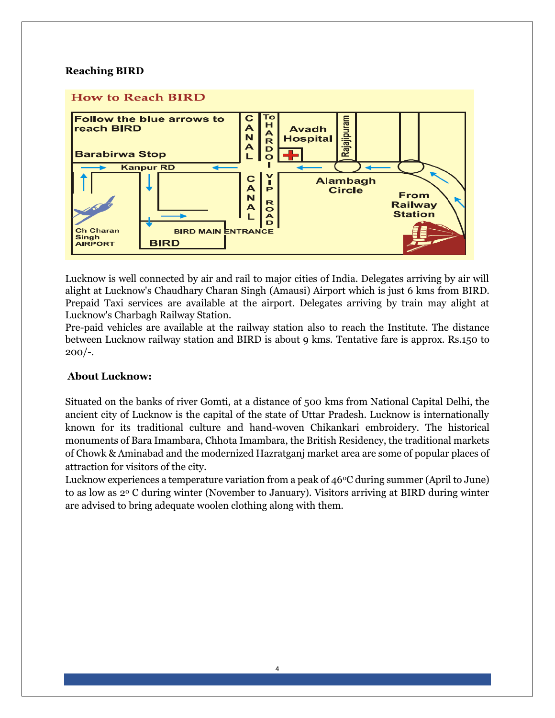#### **Reaching BIRD**

## **How to Reach BIRD**



Lucknow is well connected by air and rail to major cities of India. Delegates arriving by air will alight at Lucknow's Chaudhary Charan Singh (Amausi) Airport which is just 6 kms from BIRD. Prepaid Taxi services are available at the airport. Delegates arriving by train may alight at Lucknow's Charbagh Railway Station.

Pre-paid vehicles are available at the railway station also to reach the Institute. The distance between Lucknow railway station and BIRD is about 9 kms. Tentative fare is approx. Rs.150 to  $200/-$ .

#### **About Lucknow:**

Situated on the banks of river Gomti, at a distance of 500 kms from National Capital Delhi, the ancient city of Lucknow is the capital of the state of Uttar Pradesh. Lucknow is internationally known for its traditional culture and hand-woven Chikankari embroidery. The historical monuments of Bara Imambara, Chhota Imambara, the British Residency, the traditional markets of Chowk & Aminabad and the modernized Hazratganj market area are some of popular places of attraction for visitors of the city.

Lucknow experiences a temperature variation from a peak of  $46^{\circ}$ C during summer (April to June) to as low as 2<sup>0</sup> C during winter (November to January). Visitors arriving at BIRD during winter are advised to bring adequate woolen clothing along with them.